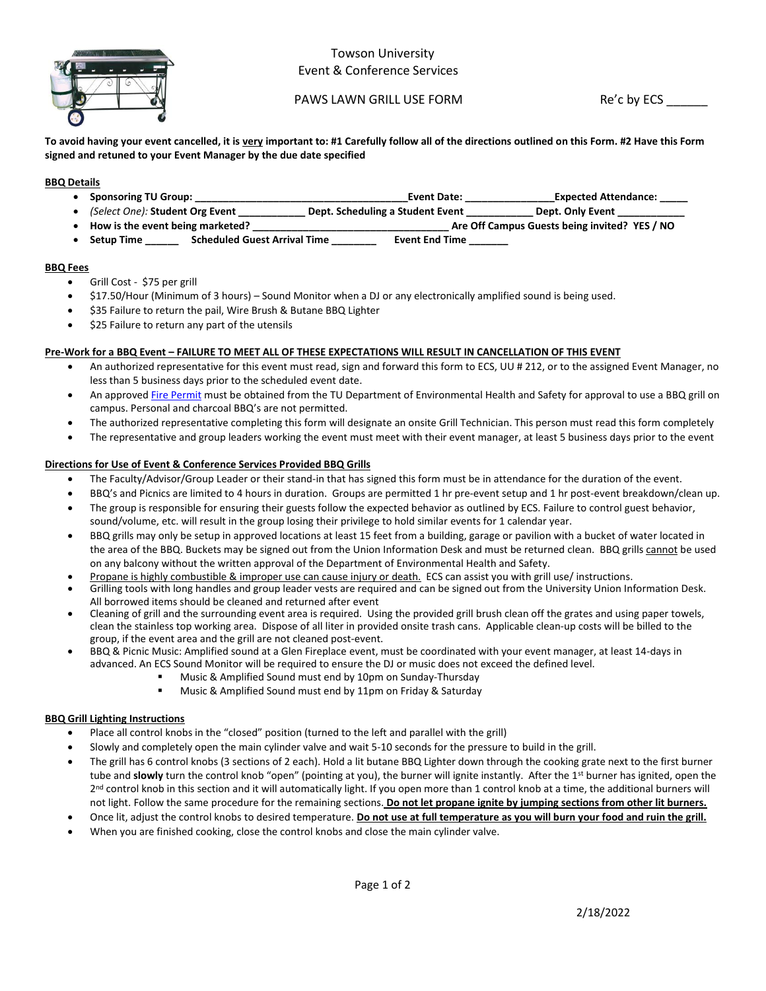

## Towson University Event & Conference Services

PAWS LAWN GRILL USE FORM Re'c by ECS

**To avoid having your event cancelled, it is very important to: #1 Carefully follow all of the directions outlined on this Form. #2 Have this Form signed and retuned to your Event Manager by the due date specified** 

## **BBQ Details**

- **Sponsoring TU Group: \_\_\_\_\_\_\_\_\_\_\_\_\_\_\_\_\_\_\_\_\_\_\_\_\_\_\_\_\_\_\_\_\_\_\_\_\_\_Event Date: \_\_\_\_\_\_\_\_\_\_\_\_\_\_\_\_Expected Attendance: \_\_\_\_\_**
- *(Select One):* Student Org Event **Dept. Scheduling a Student Event \_\_\_\_\_\_** • **How is the event being marketed? \_\_\_\_\_\_\_\_\_\_\_\_\_\_\_\_\_\_\_\_\_\_\_\_\_\_\_\_\_\_\_\_\_\_\_ Are Off Campus Guests being invited? YES / NO**
- 
- Setup Time \_\_\_\_\_\_\_\_ Scheduled Guest Arrival Time \_\_\_\_\_\_\_\_\_\_\_ Event End Time \_

### **BBQ Fees**

- Grill Cost \$75 per grill
- \$17.50/Hour (Minimum of 3 hours) Sound Monitor when a DJ or any electronically amplified sound is being used.
- \$35 Failure to return the pail, Wire Brush & Butane BBQ Lighter
- \$25 Failure to return any part of the utensils

## **Pre-Work for a BBQ Event – FAILURE TO MEET ALL OF THESE EXPECTATIONS WILL RESULT IN CANCELLATION OF THIS EVENT**

- An authorized representative for this event must read, sign and forward this form to ECS, UU # 212, or to the assigned Event Manager, no less than 5 business days prior to the scheduled event date.
- An approved [Fire Permit](http://wwwnew.towson.edu/adminfinance/Facilities/EHS/documents/FirePermit_08-11.pdf) must be obtained from the TU Department of Environmental Health and Safety for approval to use a BBQ grill on campus. Personal and charcoal BBQ's are not permitted.
- The authorized representative completing this form will designate an onsite Grill Technician. This person must read this form completely
- The representative and group leaders working the event must meet with their event manager, at least 5 business days prior to the event

## **Directions for Use of Event & Conference Services Provided BBQ Grills**

- The Faculty/Advisor/Group Leader or their stand-in that has signed this form must be in attendance for the duration of the event.
- BBQ's and Picnics are limited to 4 hours in duration. Groups are permitted 1 hr pre-event setup and 1 hr post-event breakdown/clean up.
- The group is responsible for ensuring their guests follow the expected behavior as outlined by ECS. Failure to control guest behavior, sound/volume, etc. will result in the group losing their privilege to hold similar events for 1 calendar year.
- BBQ grills may only be setup in approved locations at least 15 feet from a building, garage or pavilion with a bucket of water located in the area of the BBQ. Buckets may be signed out from the Union Information Desk and must be returned clean. BBQ grills cannot be used on any balcony without the written approval of the Department of Environmental Health and Safety.
- Propane is highly combustible & improper use can cause injury or death. ECS can assist you with grill use/ instructions.
- Grilling tools with long handles and group leader vests are required and can be signed out from the University Union Information Desk. All borrowed items should be cleaned and returned after event
- Cleaning of grill and the surrounding event area is required. Using the provided grill brush clean off the grates and using paper towels, clean the stainless top working area. Dispose of all liter in provided onsite trash cans. Applicable clean-up costs will be billed to the group, if the event area and the grill are not cleaned post-event.
- BBQ & Picnic Music: Amplified sound at a Glen Fireplace event, must be coordinated with your event manager, at least 14-days in advanced. An ECS Sound Monitor will be required to ensure the DJ or music does not exceed the defined level.
	- Music & Amplified Sound must end by 10pm on Sunday-Thursday
	- Music & Amplified Sound must end by 11pm on Friday & Saturday

## **BBQ Grill Lighting Instructions**

- Place all control knobs in the "closed" position (turned to the left and parallel with the grill)
- Slowly and completely open the main cylinder valve and wait 5-10 seconds for the pressure to build in the grill.
- The grill has 6 control knobs (3 sections of 2 each). Hold a lit butane BBQ Lighter down through the cooking grate next to the first burner tube and **slowly** turn the control knob "open" (pointing at you), the burner will ignite instantly. After the 1<sup>st</sup> burner has ignited, open the 2<sup>nd</sup> control knob in this section and it will automatically light. If you open more than 1 control knob at a time, the additional burners will not light. Follow the same procedure for the remaining sections. **Do not let propane ignite by jumping sections from other lit burners.**
- Once lit, adjust the control knobs to desired temperature. **Do not use at full temperature as you will burn your food and ruin the grill.**
- When you are finished cooking, close the control knobs and close the main cylinder valve.